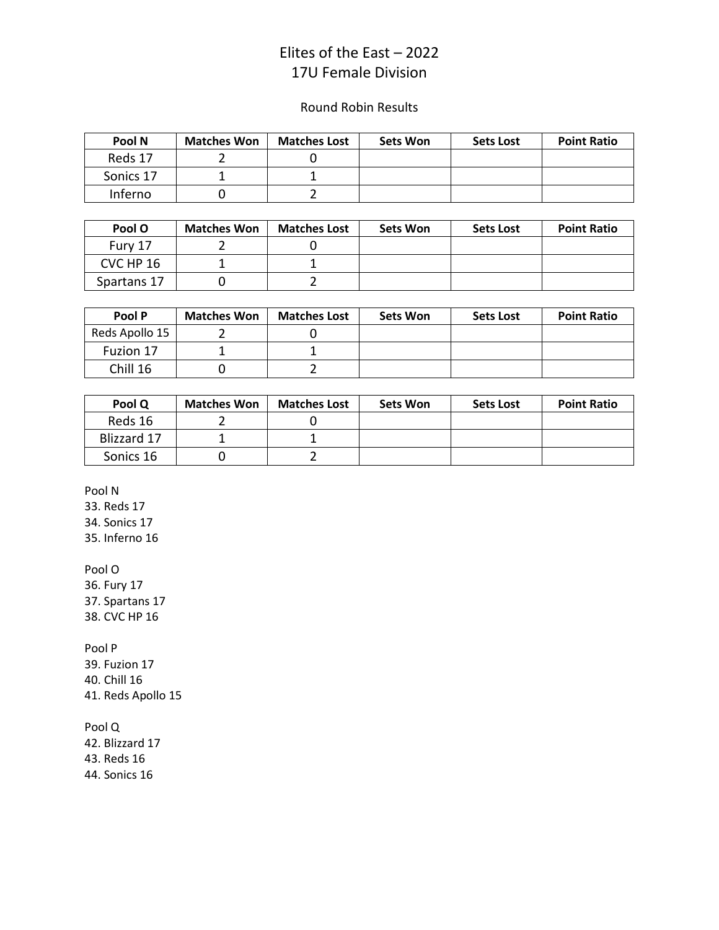## Elites of the East – 2022 17U Female Division

## Round Robin Results

| Pool N    | <b>Matches Won</b> | <b>Matches Lost</b> | <b>Sets Won</b> | <b>Sets Lost</b> | <b>Point Ratio</b> |
|-----------|--------------------|---------------------|-----------------|------------------|--------------------|
| Reds 17   |                    |                     |                 |                  |                    |
| Sonics 17 |                    |                     |                 |                  |                    |
| Inferno   |                    |                     |                 |                  |                    |

| Pool O      | <b>Matches Won</b> | <b>Matches Lost</b> | <b>Sets Won</b> | <b>Sets Lost</b> | <b>Point Ratio</b> |
|-------------|--------------------|---------------------|-----------------|------------------|--------------------|
| Fury 17     |                    |                     |                 |                  |                    |
| CVC HP 16   |                    |                     |                 |                  |                    |
| Spartans 17 |                    |                     |                 |                  |                    |

| Pool P         | <b>Matches Won</b> | <b>Matches Lost</b> | <b>Sets Won</b> | <b>Sets Lost</b> | <b>Point Ratio</b> |
|----------------|--------------------|---------------------|-----------------|------------------|--------------------|
| Reds Apollo 15 |                    |                     |                 |                  |                    |
| Fuzion 17      |                    |                     |                 |                  |                    |
| Chill 16       |                    |                     |                 |                  |                    |

| Pool Q      | <b>Matches Won</b> | <b>Matches Lost</b> | <b>Sets Won</b> | <b>Sets Lost</b> | <b>Point Ratio</b> |
|-------------|--------------------|---------------------|-----------------|------------------|--------------------|
| Reds 16     |                    |                     |                 |                  |                    |
| Blizzard 17 |                    |                     |                 |                  |                    |
| Sonics 16   |                    |                     |                 |                  |                    |

Pool N

33. Reds 17

34. Sonics 17

35. Inferno 16

Pool O

36. Fury 17 37. Spartans 17 38. CVC HP 16

Pool P

39. Fuzion 17 40. Chill 16

41. Reds Apollo 15

Pool Q

42. Blizzard 17 43. Reds 16 44. Sonics 16